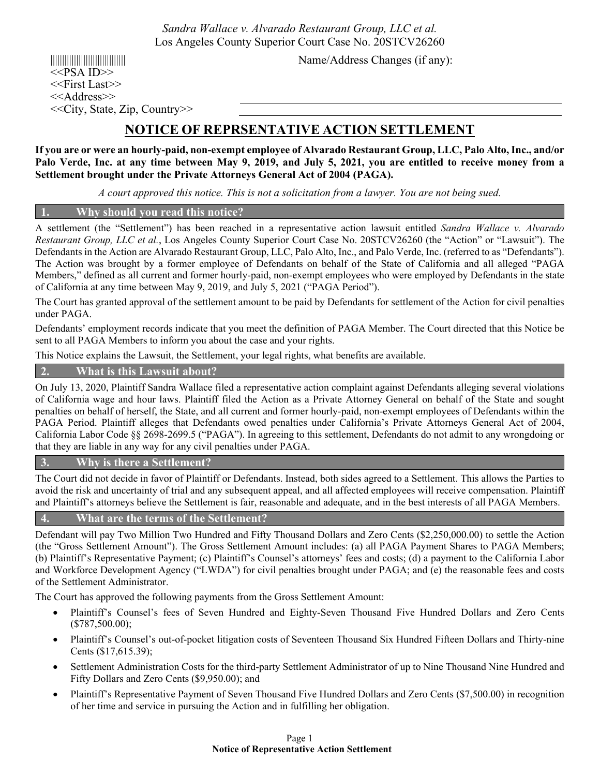*Sandra Wallace v. Alvarado Restaurant Group, LLC et al.* Los Angeles County Superior Court Case No. 20STCV26260

 $<<$ PSA ID $>>$ <<First Last>> <<Address>> <<City, State, Zip, Country>>

|||||||||||||||||||||||||||||||| Name/Address Changes (if any):

# **NOTICE OF REPRSENTATIVE ACTION SETTLEMENT**

**If you are or were an hourly-paid, non-exempt employee of Alvarado Restaurant Group, LLC, Palo Alto, Inc., and/or Palo Verde, Inc. at any time between May 9, 2019, and July 5, 2021, you are entitled to receive money from a Settlement brought under the Private Attorneys General Act of 2004 (PAGA).** 

*A court approved this notice. This is not a solicitation from a lawyer. You are not being sued.* 

## **1. Why should you read this notice?**

A settlement (the "Settlement") has been reached in a representative action lawsuit entitled *Sandra Wallace v. Alvarado Restaurant Group, LLC et al.*, Los Angeles County Superior Court Case No. 20STCV26260 (the "Action" or "Lawsuit"). The Defendants in the Action are Alvarado Restaurant Group, LLC, Palo Alto, Inc., and Palo Verde, Inc. (referred to as "Defendants"). The Action was brought by a former employee of Defendants on behalf of the State of California and all alleged "PAGA Members," defined as all current and former hourly-paid, non-exempt employees who were employed by Defendants in the state of California at any time between May 9, 2019, and July 5, 2021 ("PAGA Period").

The Court has granted approval of the settlement amount to be paid by Defendants for settlement of the Action for civil penalties under PAGA.

Defendants' employment records indicate that you meet the definition of PAGA Member. The Court directed that this Notice be sent to all PAGA Members to inform you about the case and your rights.

This Notice explains the Lawsuit, the Settlement, your legal rights, what benefits are available.

## **2. What is this Lawsuit about?**

On July 13, 2020, Plaintiff Sandra Wallace filed a representative action complaint against Defendants alleging several violations of California wage and hour laws. Plaintiff filed the Action as a Private Attorney General on behalf of the State and sought penalties on behalf of herself, the State, and all current and former hourly-paid, non-exempt employees of Defendants within the PAGA Period. Plaintiff alleges that Defendants owed penalties under California's Private Attorneys General Act of 2004, California Labor Code §§ 2698-2699.5 ("PAGA"). In agreeing to this settlement, Defendants do not admit to any wrongdoing or that they are liable in any way for any civil penalties under PAGA.

## **3. Why is there a Settlement?**

The Court did not decide in favor of Plaintiff or Defendants. Instead, both sides agreed to a Settlement. This allows the Parties to avoid the risk and uncertainty of trial and any subsequent appeal, and all affected employees will receive compensation. Plaintiff and Plaintiff's attorneys believe the Settlement is fair, reasonable and adequate, and in the best interests of all PAGA Members.

#### **4. What are the terms of the Settlement?**

Defendant will pay Two Million Two Hundred and Fifty Thousand Dollars and Zero Cents (\$2,250,000.00) to settle the Action (the "Gross Settlement Amount"). The Gross Settlement Amount includes: (a) all PAGA Payment Shares to PAGA Members; (b) Plaintiff's Representative Payment; (c) Plaintiff's Counsel's attorneys' fees and costs; (d) a payment to the California Labor and Workforce Development Agency ("LWDA") for civil penalties brought under PAGA; and (e) the reasonable fees and costs of the Settlement Administrator.

The Court has approved the following payments from the Gross Settlement Amount:

- Plaintiff's Counsel's fees of Seven Hundred and Eighty-Seven Thousand Five Hundred Dollars and Zero Cents (\$787,500.00);
- Plaintiff's Counsel's out-of-pocket litigation costs of Seventeen Thousand Six Hundred Fifteen Dollars and Thirty-nine Cents (\$17,615.39);
- Settlement Administration Costs for the third-party Settlement Administrator of up to Nine Thousand Nine Hundred and Fifty Dollars and Zero Cents (\$9,950.00); and
- Plaintiff's Representative Payment of Seven Thousand Five Hundred Dollars and Zero Cents (\$7,500.00) in recognition of her time and service in pursuing the Action and in fulfilling her obligation.